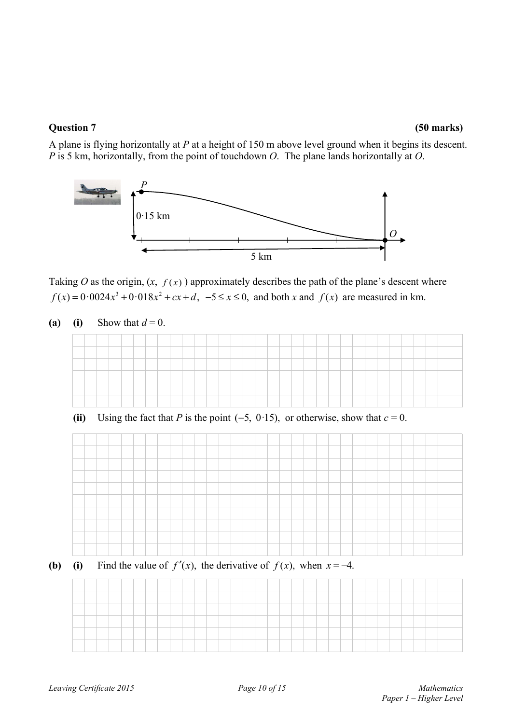A plane is flying horizontally at *P* at a height of 150 m above level ground when it begins its descent. *P* is 5 km, horizontally, from the point of touchdown *O*. The plane lands horizontally at *O*.



Taking *O* as the origin,  $(x, f(x))$  approximately describes the path of the plane's descent where  $f(x) = 0.0024x^3 + 0.018x^2 + cx + d$ ,  $-5 \le x \le 0$ , and both x and  $f(x)$  are measured in km.

(a) **(i)** Show that  $d = 0$ .



(ii) Using the fact that *P* is the point  $(-5, 0.15)$ , or otherwise, show that  $c = 0$ .



**(b)** (i) Find the value of  $f'(x)$ , the derivative of  $f(x)$ , when  $x = -4$ .

| _ |  |  |  |  |  |  |  |  |  |  |  |  |  |  |  |  |
|---|--|--|--|--|--|--|--|--|--|--|--|--|--|--|--|--|
|   |  |  |  |  |  |  |  |  |  |  |  |  |  |  |  |  |
|   |  |  |  |  |  |  |  |  |  |  |  |  |  |  |  |  |
|   |  |  |  |  |  |  |  |  |  |  |  |  |  |  |  |  |
|   |  |  |  |  |  |  |  |  |  |  |  |  |  |  |  |  |
| _ |  |  |  |  |  |  |  |  |  |  |  |  |  |  |  |  |